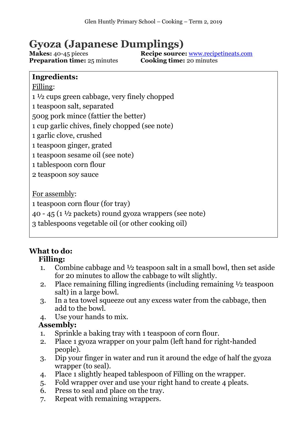# **Gyoza (Japanese Dumplings)**

**Preparation time:** 25 minutes

**Makes:** 40-45 pieces<br>**Recipe source:** <u>[www.recipetineats.com](https://www.recipetineats.com/gyoza-japanese-dumplings-potstickers/)</u><br>**Preparation time:** 25 minutes<br>**Cooking time:** 20 minutes

## **Ingredients:**

Filling: 1 ½ cups green cabbage, very finely chopped teaspoon salt, separated 500g pork mince (fattier the better) cup garlic chives, finely chopped (see note) garlic clove, crushed teaspoon ginger, grated teaspoon sesame oil (see note) tablespoon corn flour teaspoon soy sauce

For assembly:

1 teaspoon corn flour (for tray)

40 - 45 (1 $\frac{1}{2}$  packets) round gyoza wrappers (see note)

3 tablespoons vegetable oil (or other cooking oil)

### **What to do: Filling:**

- 1. Combine cabbage and ½ teaspoon salt in a small bowl, then set aside for 20 minutes to allow the cabbage to wilt slightly.
- 2. Place remaining filling ingredients (including remaining ½ teaspoon salt) in a large bowl.
- 3. In a tea towel squeeze out any excess water from the cabbage, then add to the bowl.
- 4. Use your hands to mix.

# **Assembly:**

- 1. Sprinkle a baking tray with 1 teaspoon of corn flour.
- 2. Place 1 gyoza wrapper on your palm (left hand for right-handed people).
- 3. Dip your finger in water and run it around the edge of half the gyoza wrapper (to seal).
- 4. Place 1 slightly heaped tablespoon of Filling on the wrapper.
- 5. Fold wrapper over and use your right hand to create 4 pleats.
- 6. Press to seal and place on the tray.
- 7. Repeat with remaining wrappers.